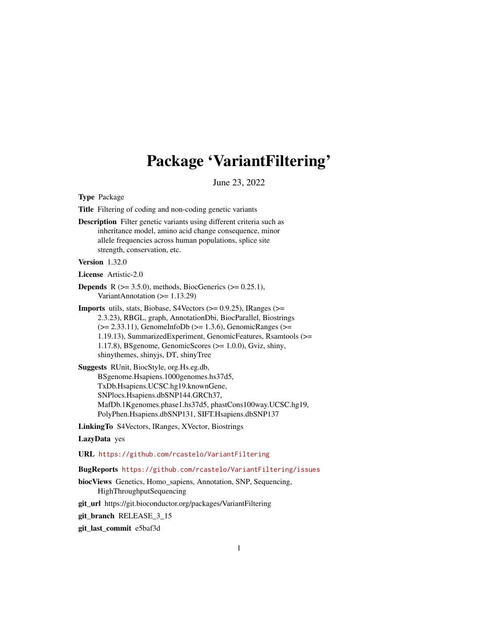# Package 'VariantFiltering'

June 23, 2022

<span id="page-0-0"></span>Type Package

Title Filtering of coding and non-coding genetic variants

Description Filter genetic variants using different criteria such as inheritance model, amino acid change consequence, minor allele frequencies across human populations, splice site strength, conservation, etc.

#### Version 1.32.0

License Artistic-2.0

- **Depends** R  $(>= 3.5.0)$ , methods, BiocGenerics  $(>= 0.25.1)$ , VariantAnnotation (>= 1.13.29)
- **Imports** utils, stats, Biobase, S4Vectors ( $> = 0.9.25$ ), IRanges ( $> =$ 2.3.23), RBGL, graph, AnnotationDbi, BiocParallel, Biostrings  $(>= 2.33.11)$ , GenomeInfoDb  $(>= 1.3.6)$ , GenomicRanges  $(>= 1.3.6)$ 1.19.13), SummarizedExperiment, GenomicFeatures, Rsamtools (>= 1.17.8), BSgenome, GenomicScores (>= 1.0.0), Gviz, shiny, shinythemes, shinyjs, DT, shinyTree
- Suggests RUnit, BiocStyle, org.Hs.eg.db, BSgenome.Hsapiens.1000genomes.hs37d5, TxDb.Hsapiens.UCSC.hg19.knownGene, SNPlocs.Hsapiens.dbSNP144.GRCh37, MafDb.1Kgenomes.phase1.hs37d5, phastCons100way.UCSC.hg19, PolyPhen.Hsapiens.dbSNP131, SIFT.Hsapiens.dbSNP137

LinkingTo S4Vectors, IRanges, XVector, Biostrings

#### LazyData yes

URL <https://github.com/rcastelo/VariantFiltering>

#### BugReports <https://github.com/rcastelo/VariantFiltering/issues>

biocViews Genetics, Homo\_sapiens, Annotation, SNP, Sequencing, HighThroughputSequencing

git\_url https://git.bioconductor.org/packages/VariantFiltering

git branch RELEASE 3 15

git\_last\_commit e5baf3d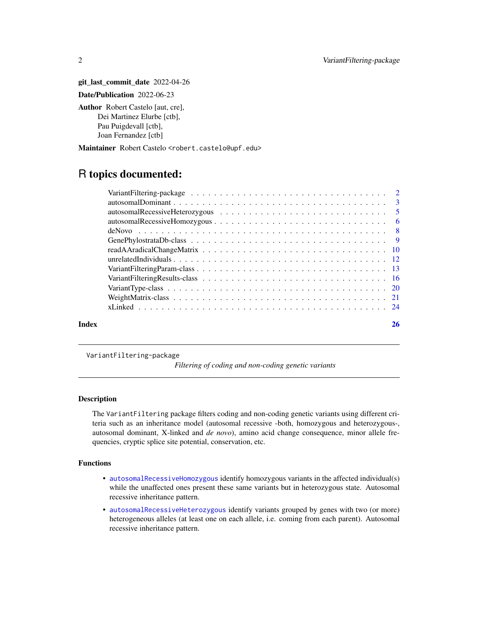git\_last\_commit\_date 2022-04-26 Date/Publication 2022-06-23 Author Robert Castelo [aut, cre], Dei Martinez Elurbe [ctb], Pau Puigdevall [ctb], Joan Fernandez [ctb]

Maintainer Robert Castelo <robert.castelo@upf.edu>

## R topics documented:

| Index | 26 |
|-------|----|

VariantFiltering-package

#### *Filtering of coding and non-coding genetic variants*

#### Description

The VariantFiltering package filters coding and non-coding genetic variants using different criteria such as an inheritance model (autosomal recessive -both, homozygous and heterozygous-, autosomal dominant, X-linked and *de novo*), amino acid change consequence, minor allele frequencies, cryptic splice site potential, conservation, etc.

#### Functions

- [autosomalRecessiveHomozygous](#page-5-1) identify homozygous variants in the affected individual(s) while the unaffected ones present these same variants but in heterozygous state. Autosomal recessive inheritance pattern.
- [autosomalRecessiveHeterozygous](#page-4-1) identify variants grouped by genes with two (or more) heterogeneous alleles (at least one on each allele, i.e. coming from each parent). Autosomal recessive inheritance pattern.

<span id="page-1-0"></span>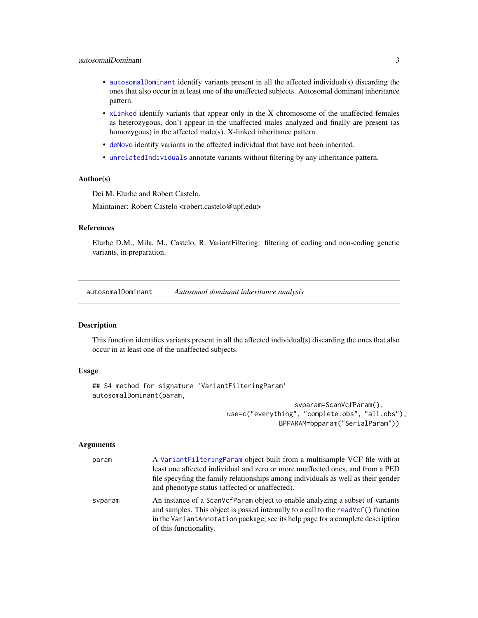#### <span id="page-2-0"></span>autosomalDominant 3

- [autosomalDominant](#page-2-1) identify variants present in all the affected individual(s) discarding the ones that also occur in at least one of the unaffected subjects. Autosomal dominant inheritance pattern.
- [xLinked](#page-23-1) identify variants that appear only in the X chromosome of the unaffected females as heterozygous, don't appear in the unaffected males analyzed and finally are present (as homozygous) in the affected male(s). X-linked inheritance pattern.
- [deNovo](#page-7-1) identify variants in the affected individual that have not been inherited.
- [unrelatedIndividuals](#page-11-1) annotate variants without filtering by any inheritance pattern.

#### Author(s)

Dei M. Elurbe and Robert Castelo.

Maintainer: Robert Castelo <robert.castelo@upf.edu>

#### References

Elurbe D.M., Mila, M., Castelo, R. VariantFiltering: filtering of coding and non-coding genetic variants, in preparation.

<span id="page-2-1"></span>autosomalDominant *Autosomal dominant inheritance analysis*

#### Description

This function identifies variants present in all the affected individual(s) discarding the ones that also occur in at least one of the unaffected subjects.

#### Usage

```
## S4 method for signature 'VariantFilteringParam'
autosomalDominant(param,
```
svparam=ScanVcfParam(), use=c("everything", "complete.obs", "all.obs"), BPPARAM=bpparam("SerialParam"))

#### Arguments

| param   | A Variant Filtering Param object built from a multisample VCF file with at<br>least one affected individual and zero or more unaffected ones, and from a PED<br>file specyfing the family relationships among individuals as well as their gender<br>and phenotype status (affected or unaffected). |
|---------|-----------------------------------------------------------------------------------------------------------------------------------------------------------------------------------------------------------------------------------------------------------------------------------------------------|
| svparam | An instance of a ScanVcfParam object to enable analyzing a subset of variants<br>and samples. This object is passed internally to a call to the readVcf() function<br>in the VariantAnnotation package, see its help page for a complete description<br>of this functionality.                      |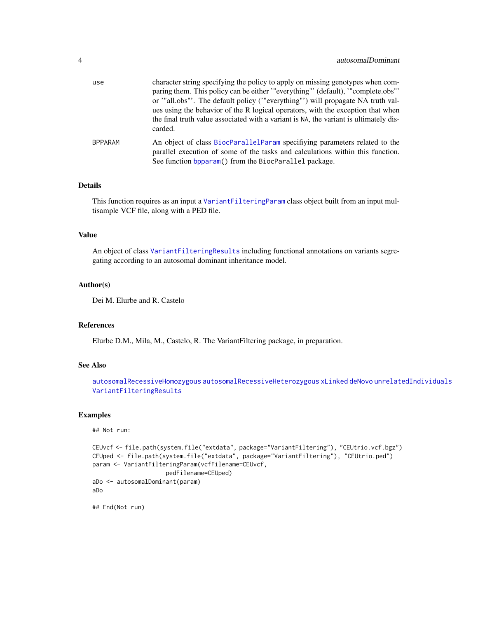<span id="page-3-0"></span>

| use            | character string specifying the policy to apply on missing genotypes when com-<br>paring them. This policy can be either "everything" (default), "complete.obs"<br>or '"all.obs"'. The default policy ('"everything"') will propagate NA truth val-<br>ues using the behavior of the R logical operators, with the exception that when |
|----------------|----------------------------------------------------------------------------------------------------------------------------------------------------------------------------------------------------------------------------------------------------------------------------------------------------------------------------------------|
|                | the final truth value associated with a variant is NA, the variant is ultimately dis-<br>carded.                                                                                                                                                                                                                                       |
| <b>BPPARAM</b> | An object of class BiocParallelParam specifying parameters related to the<br>parallel execution of some of the tasks and calculations within this function.<br>See function bpparam() from the BiocParallel package.                                                                                                                   |

#### Details

This function requires as an input a [VariantFilteringParam](#page-12-1) class object built from an input multisample VCF file, along with a PED file.

#### Value

An object of class [VariantFilteringResults](#page-15-1) including functional annotations on variants segregating according to an autosomal dominant inheritance model.

#### Author(s)

Dei M. Elurbe and R. Castelo

#### References

Elurbe D.M., Mila, M., Castelo, R. The VariantFiltering package, in preparation.

### See Also

[autosomalRecessiveHomozygous](#page-5-1) [autosomalRecessiveHeterozygous](#page-4-1) [xLinked](#page-23-1) [deNovo](#page-7-1) [unrelatedIndividuals](#page-11-1) [VariantFilteringResults](#page-15-1)

#### Examples

## Not run:

```
CEUvcf <- file.path(system.file("extdata", package="VariantFiltering"), "CEUtrio.vcf.bgz")
CEUped <- file.path(system.file("extdata", package="VariantFiltering"), "CEUtrio.ped")
param <- VariantFilteringParam(vcfFilename=CEUvcf,
                     pedFilename=CEUped)
aDo <- autosomalDominant(param)
aDo
```
## End(Not run)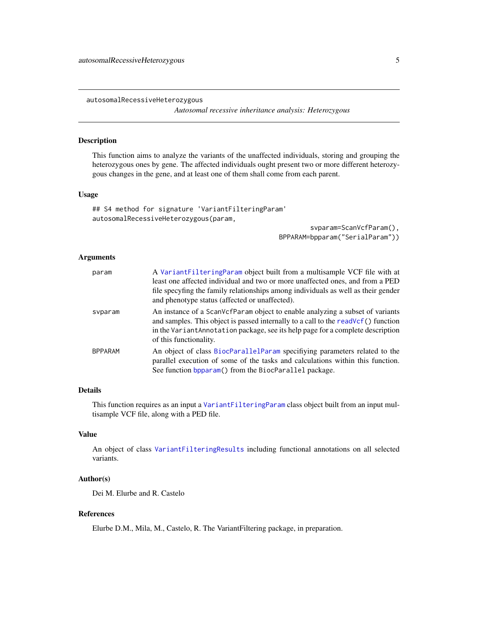<span id="page-4-1"></span><span id="page-4-0"></span>autosomalRecessiveHeterozygous

*Autosomal recessive inheritance analysis: Heterozygous*

#### Description

This function aims to analyze the variants of the unaffected individuals, storing and grouping the heterozygous ones by gene. The affected individuals ought present two or more different heterozygous changes in the gene, and at least one of them shall come from each parent.

#### Usage

## S4 method for signature 'VariantFilteringParam' autosomalRecessiveHeterozygous(param,

> svparam=ScanVcfParam(), BPPARAM=bpparam("SerialParam"))

#### Arguments

| param          | A Variant Filtering Param object built from a multisample VCF file with at<br>least one affected individual and two or more unaffected ones, and from a PED<br>file specyfing the family relationships among individuals as well as their gender<br>and phenotype status (affected or unaffected). |
|----------------|----------------------------------------------------------------------------------------------------------------------------------------------------------------------------------------------------------------------------------------------------------------------------------------------------|
| svparam        | An instance of a ScanVcfParam object to enable analyzing a subset of variants<br>and samples. This object is passed internally to a call to the readVcf() function<br>in the Variant Annotation package, see its help page for a complete description<br>of this functionality.                    |
| <b>BPPARAM</b> | An object of class BiocParallelParam specifiying parameters related to the<br>parallel execution of some of the tasks and calculations within this function.<br>See function bpparam() from the BiocParallel package.                                                                              |

#### Details

This function requires as an input a [VariantFilteringParam](#page-12-1) class object built from an input multisample VCF file, along with a PED file.

#### Value

An object of class [VariantFilteringResults](#page-15-1) including functional annotations on all selected variants.

#### Author(s)

Dei M. Elurbe and R. Castelo

#### References

Elurbe D.M., Mila, M., Castelo, R. The VariantFiltering package, in preparation.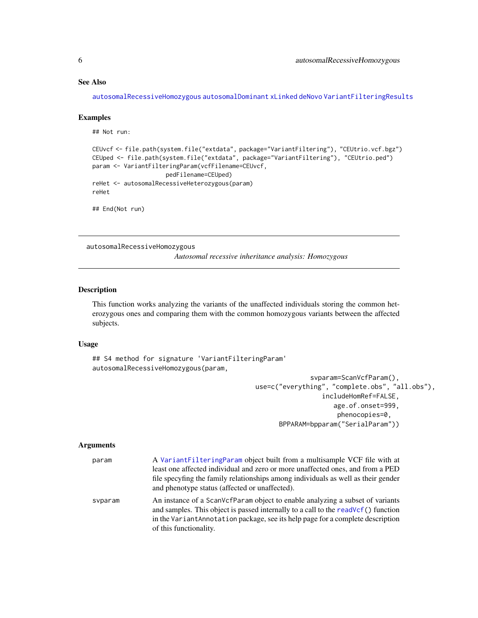#### <span id="page-5-0"></span>See Also

[autosomalRecessiveHomozygous](#page-5-1) [autosomalDominant](#page-2-1) [xLinked](#page-23-1) [deNovo](#page-7-1) [VariantFilteringResults](#page-15-1)

#### Examples

## Not run:

```
CEUvcf <- file.path(system.file("extdata", package="VariantFiltering"), "CEUtrio.vcf.bgz")
CEUped <- file.path(system.file("extdata", package="VariantFiltering"), "CEUtrio.ped")
param <- VariantFilteringParam(vcfFilename=CEUvcf,
                     pedFilename=CEUped)
reHet <- autosomalRecessiveHeterozygous(param)
reHet
```
## End(Not run)

<span id="page-5-1"></span>autosomalRecessiveHomozygous

*Autosomal recessive inheritance analysis: Homozygous*

#### Description

This function works analyzing the variants of the unaffected individuals storing the common heterozygous ones and comparing them with the common homozygous variants between the affected subjects.

#### Usage

## S4 method for signature 'VariantFilteringParam' autosomalRecessiveHomozygous(param,

> svparam=ScanVcfParam(), use=c("everything", "complete.obs", "all.obs"), includeHomRef=FALSE, age.of.onset=999, phenocopies=0, BPPARAM=bpparam("SerialParam"))

#### Arguments

| param   | A VariantFilteringParam object built from a multisample VCF file with at                                                                                                                                                                              |
|---------|-------------------------------------------------------------------------------------------------------------------------------------------------------------------------------------------------------------------------------------------------------|
|         | least one affected individual and zero or more unaffected ones, and from a PED                                                                                                                                                                        |
|         | file specyfing the family relationships among individuals as well as their gender<br>and phenotype status (affected or unaffected).                                                                                                                   |
| svparam | An instance of a ScanVcfParam object to enable analyzing a subset of variants<br>and samples. This object is passed internally to a call to the readVcf() function<br>in the Variant Annotation package, see its help page for a complete description |
|         | of this functionality.                                                                                                                                                                                                                                |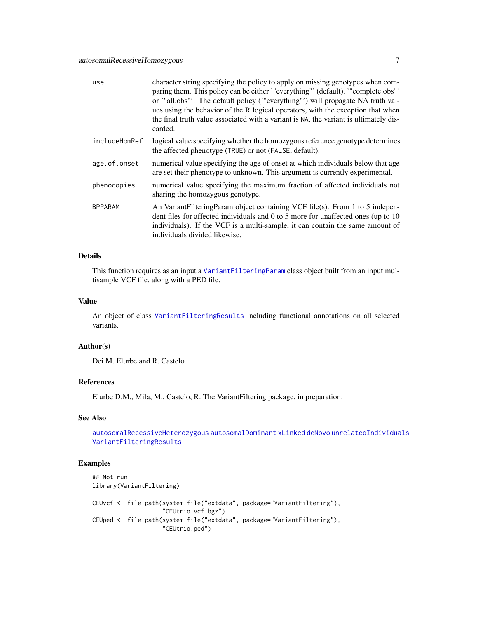<span id="page-6-0"></span>

| use            | character string specifying the policy to apply on missing genotypes when com-<br>paring them. This policy can be either "everything" (default), "complete.obs"<br>or '"all.obs"'. The default policy ('"everything"') will propagate NA truth val-<br>ues using the behavior of the R logical operators, with the exception that when<br>the final truth value associated with a variant is NA, the variant is ultimately dis-<br>carded. |
|----------------|--------------------------------------------------------------------------------------------------------------------------------------------------------------------------------------------------------------------------------------------------------------------------------------------------------------------------------------------------------------------------------------------------------------------------------------------|
| includeHomRef  | logical value specifying whether the homozygous reference genotype determines<br>the affected phenotype (TRUE) or not (FALSE, default).                                                                                                                                                                                                                                                                                                    |
| age.of.onset   | numerical value specifying the age of onset at which individuals below that age<br>are set their phenotype to unknown. This argument is currently experimental.                                                                                                                                                                                                                                                                            |
| phenocopies    | numerical value specifying the maximum fraction of affected individuals not<br>sharing the homozygous genotype.                                                                                                                                                                                                                                                                                                                            |
| <b>BPPARAM</b> | An VariantFilteringParam object containing VCF file(s). From 1 to 5 indepen-<br>dent files for affected individuals and 0 to 5 more for unaffected ones (up to 10)<br>individuals). If the VCF is a multi-sample, it can contain the same amount of<br>individuals divided likewise.                                                                                                                                                       |

#### Details

This function requires as an input a [VariantFilteringParam](#page-12-1) class object built from an input multisample VCF file, along with a PED file.

#### Value

An object of class [VariantFilteringResults](#page-15-1) including functional annotations on all selected variants.

#### Author(s)

Dei M. Elurbe and R. Castelo

#### References

Elurbe D.M., Mila, M., Castelo, R. The VariantFiltering package, in preparation.

#### See Also

[autosomalRecessiveHeterozygous](#page-4-1) [autosomalDominant](#page-2-1) [xLinked](#page-23-1) [deNovo](#page-7-1) [unrelatedIndividuals](#page-11-1) [VariantFilteringResults](#page-15-1)

#### Examples

```
## Not run:
library(VariantFiltering)
CEUvcf <- file.path(system.file("extdata", package="VariantFiltering"),
                    "CEUtrio.vcf.bgz")
CEUped <- file.path(system.file("extdata", package="VariantFiltering"),
                    "CEUtrio.ped")
```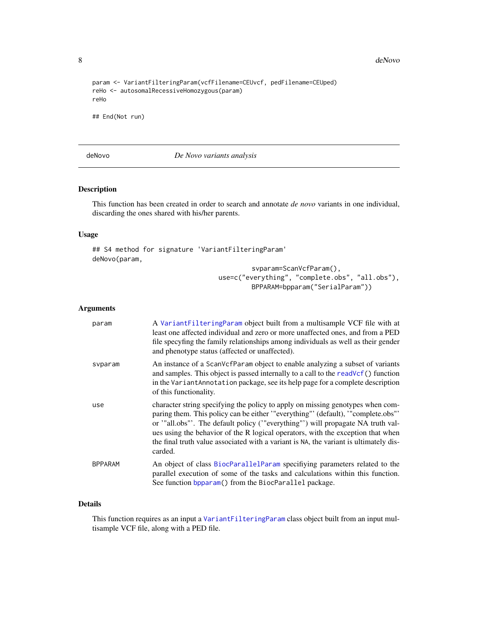8 deNovo de la contrada de la contrada de la contrada de la contrada de la contrada de la contrada de la contrada de la contrada de la contrada de la contrada de la contrada de la contrada de la contrada de la contrada de

```
param <- VariantFilteringParam(vcfFilename=CEUvcf, pedFilename=CEUped)
reHo <- autosomalRecessiveHomozygous(param)
reHo
```
## End(Not run)

<span id="page-7-1"></span>deNovo *De Novo variants analysis*

#### Description

This function has been created in order to search and annotate *de novo* variants in one individual, discarding the ones shared with his/her parents.

#### Usage

```
## S4 method for signature 'VariantFilteringParam'
deNovo(param,
                                          svparam=ScanVcfParam(),
```
use=c("everything", "complete.obs", "all.obs"), BPPARAM=bpparam("SerialParam"))

#### Arguments

| param          | A Variant Filtering Param object built from a multisample VCF file with at<br>least one affected individual and zero or more unaffected ones, and from a PED<br>file specyfing the family relationships among individuals as well as their gender<br>and phenotype status (affected or unaffected).                                                                                                                                        |
|----------------|--------------------------------------------------------------------------------------------------------------------------------------------------------------------------------------------------------------------------------------------------------------------------------------------------------------------------------------------------------------------------------------------------------------------------------------------|
| svparam        | An instance of a ScanVcfParam object to enable analyzing a subset of variants<br>and samples. This object is passed internally to a call to the readVcf() function<br>in the VariantAnnotation package, see its help page for a complete description<br>of this functionality.                                                                                                                                                             |
| use            | character string specifying the policy to apply on missing genotypes when com-<br>paring them. This policy can be either "everything" (default), "complete.obs"<br>or '"all.obs"'. The default policy ('"everything"') will propagate NA truth val-<br>ues using the behavior of the R logical operators, with the exception that when<br>the final truth value associated with a variant is NA, the variant is ultimately dis-<br>carded. |
| <b>BPPARAM</b> | An object of class BiocParallelParam specifying parameters related to the<br>parallel execution of some of the tasks and calculations within this function.<br>See function bpparam() from the BiocParallel package.                                                                                                                                                                                                                       |

#### Details

This function requires as an input a [VariantFilteringParam](#page-12-1) class object built from an input multisample VCF file, along with a PED file.

<span id="page-7-0"></span>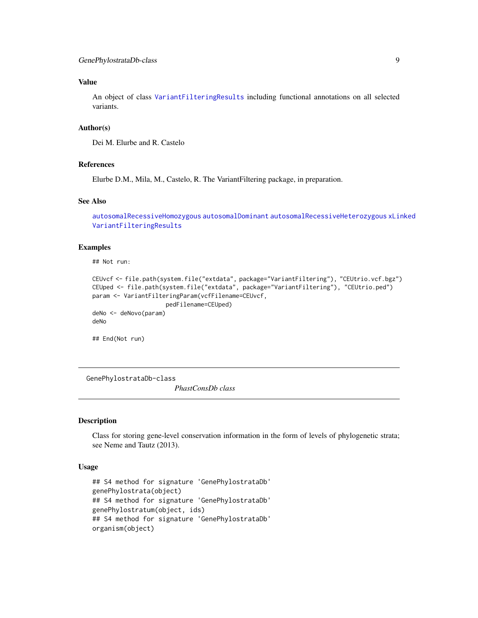#### <span id="page-8-0"></span>Value

An object of class [VariantFilteringResults](#page-15-1) including functional annotations on all selected variants.

#### Author(s)

Dei M. Elurbe and R. Castelo

#### References

Elurbe D.M., Mila, M., Castelo, R. The VariantFiltering package, in preparation.

#### See Also

```
autosomalRecessiveHomozygous autosomalDominant autosomalRecessiveHeterozygous xLinked
VariantFilteringResults
```
#### Examples

## Not run:

```
CEUvcf <- file.path(system.file("extdata", package="VariantFiltering"), "CEUtrio.vcf.bgz")
CEUped <- file.path(system.file("extdata", package="VariantFiltering"), "CEUtrio.ped")
param <- VariantFilteringParam(vcfFilename=CEUvcf,
                     pedFilename=CEUped)
deNo <- deNovo(param)
deNo
```
## End(Not run)

GenePhylostrataDb-class

*PhastConsDb class*

#### Description

Class for storing gene-level conservation information in the form of levels of phylogenetic strata; see Neme and Tautz (2013).

#### Usage

```
## S4 method for signature 'GenePhylostrataDb'
genePhylostrata(object)
## S4 method for signature 'GenePhylostrataDb'
genePhylostratum(object, ids)
## S4 method for signature 'GenePhylostrataDb'
organism(object)
```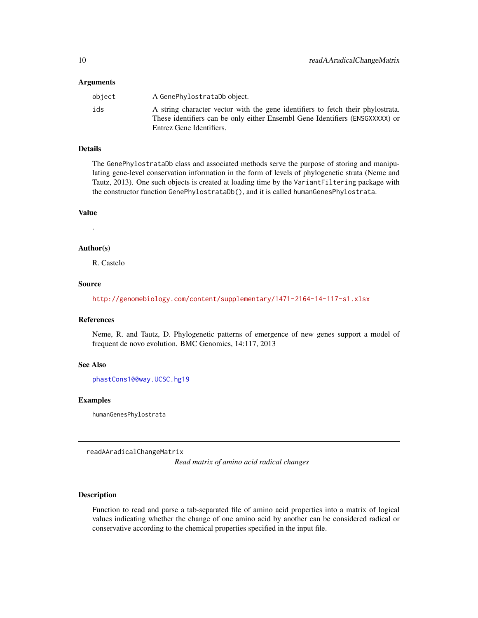#### <span id="page-9-0"></span>**Arguments**

| object | A GenePhylostrataDb object.                                                                                                                                     |
|--------|-----------------------------------------------------------------------------------------------------------------------------------------------------------------|
| ids    | A string character vector with the gene identifiers to fetch their phylostrata.<br>These identifiers can be only either Ensembl Gene Identifiers (ENSGXXXXX) or |
|        | Entrez Gene Identifiers.                                                                                                                                        |

#### Details

The GenePhylostrataDb class and associated methods serve the purpose of storing and manipulating gene-level conservation information in the form of levels of phylogenetic strata (Neme and Tautz, 2013). One such objects is created at loading time by the VariantFiltering package with the constructor function GenePhylostrataDb(), and it is called humanGenesPhylostrata.

#### Value

.

#### Author(s)

R. Castelo

#### Source

<http://genomebiology.com/content/supplementary/1471-2164-14-117-s1.xlsx>

#### References

Neme, R. and Tautz, D. Phylogenetic patterns of emergence of new genes support a model of frequent de novo evolution. BMC Genomics, 14:117, 2013

#### See Also

[phastCons100way.UCSC.hg19](#page-0-0)

### Examples

humanGenesPhylostrata

readAAradicalChangeMatrix

*Read matrix of amino acid radical changes*

#### Description

Function to read and parse a tab-separated file of amino acid properties into a matrix of logical values indicating whether the change of one amino acid by another can be considered radical or conservative according to the chemical properties specified in the input file.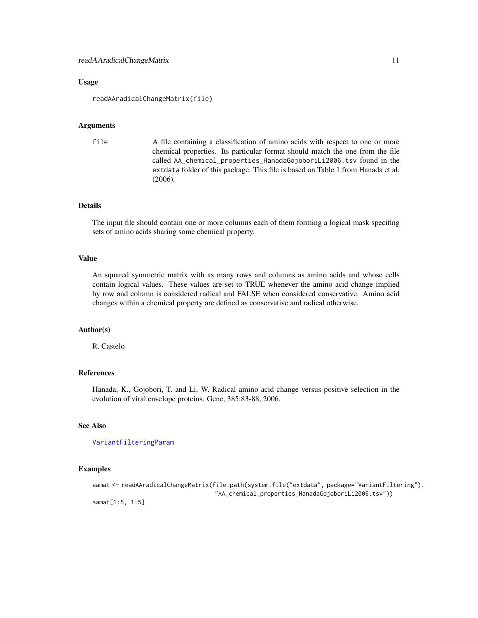#### <span id="page-10-0"></span>Usage

readAAradicalChangeMatrix(file)

#### Arguments

```
file A file containing a classification of amino acids with respect to one or more
                 chemical properties. Its particular format should match the one from the file
                 called AA_chemical_properties_HanadaGojoboriLi2006.tsv found in the
                 extdata folder of this package. This file is based on Table 1 from Hanada et al.
                 (2006).
```
#### Details

The input file should contain one or more columns each of them forming a logical mask specifing sets of amino acids sharing some chemical property.

#### Value

An squared symmetric matrix with as many rows and columns as amino acids and whose cells contain logical values. These values are set to TRUE whenever the amino acid change implied by row and column is considered radical and FALSE when considered conservative. Amino acid changes within a chemical property are defined as conservative and radical otherwise.

#### Author(s)

R. Castelo

#### References

Hanada, K., Gojobori, T. and Li, W. Radical amino acid change versus positive selection in the evolution of viral envelope proteins. Gene, 385:83-88, 2006.

#### See Also

[VariantFilteringParam](#page-12-1)

#### Examples

```
aamat <- readAAradicalChangeMatrix(file.path(system.file("extdata", package="VariantFiltering"),
                                   "AA_chemical_properties_HanadaGojoboriLi2006.tsv"))
aamat[1:5, 1:5]
```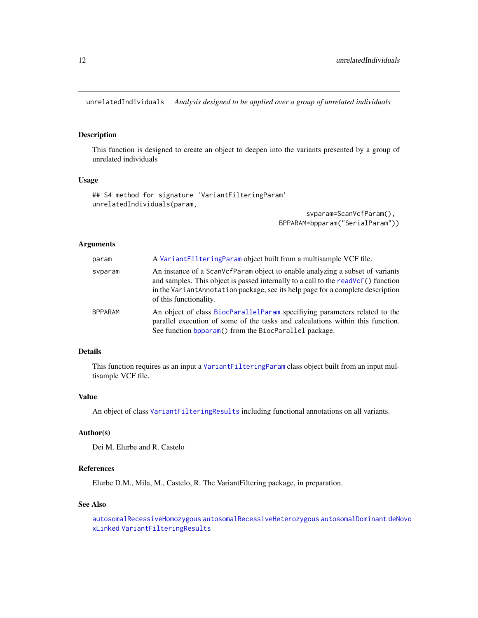<span id="page-11-1"></span><span id="page-11-0"></span>unrelatedIndividuals *Analysis designed to be applied over a group of unrelated individuals*

#### Description

This function is designed to create an object to deepen into the variants presented by a group of unrelated individuals

#### Usage

```
## S4 method for signature 'VariantFilteringParam'
unrelatedIndividuals(param,
```
svparam=ScanVcfParam(), BPPARAM=bpparam("SerialParam"))

#### Arguments

| param          | A Variant Filtering Param object built from a multisample VCF file.                                                                                                                                                                                                            |
|----------------|--------------------------------------------------------------------------------------------------------------------------------------------------------------------------------------------------------------------------------------------------------------------------------|
| svparam        | An instance of a ScanVcfParam object to enable analyzing a subset of variants<br>and samples. This object is passed internally to a call to the readVcf() function<br>in the VariantAnnotation package, see its help page for a complete description<br>of this functionality. |
| <b>BPPARAM</b> | An object of class BiocParallelParam specifying parameters related to the<br>parallel execution of some of the tasks and calculations within this function.<br>See function bpparam() from the BiocParallel package.                                                           |

#### Details

This function requires as an input a [VariantFilteringParam](#page-12-1) class object built from an input multisample VCF file.

#### Value

An object of class [VariantFilteringResults](#page-15-1) including functional annotations on all variants.

#### Author(s)

Dei M. Elurbe and R. Castelo

#### References

Elurbe D.M., Mila, M., Castelo, R. The VariantFiltering package, in preparation.

#### See Also

[autosomalRecessiveHomozygous](#page-5-1) [autosomalRecessiveHeterozygous](#page-4-1) [autosomalDominant](#page-2-1) [deNovo](#page-7-1) [xLinked](#page-23-1) [VariantFilteringResults](#page-15-1)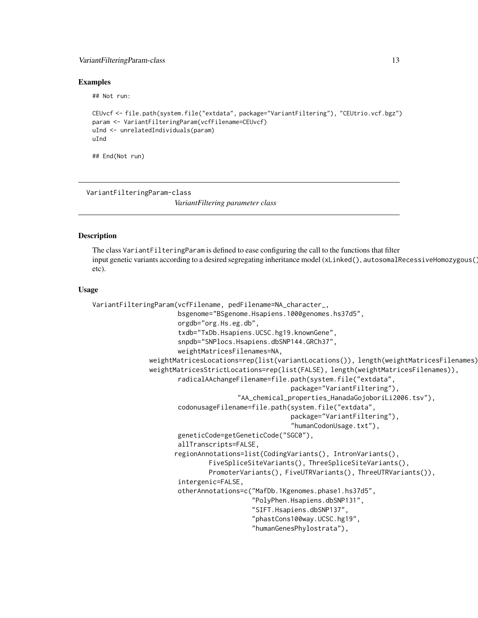#### <span id="page-12-0"></span>VariantFilteringParam-class 13

#### Examples

## Not run:

```
CEUvcf <- file.path(system.file("extdata", package="VariantFiltering"), "CEUtrio.vcf.bgz")
param <- VariantFilteringParam(vcfFilename=CEUvcf)
uInd <- unrelatedIndividuals(param)
uInd
```
## End(Not run)

<span id="page-12-2"></span>VariantFilteringParam-class *VariantFiltering parameter class*

#### <span id="page-12-1"></span>**Description**

The class VariantFilteringParam is defined to ease configuring the call to the functions that filter input genetic variants according to a desired segregating inheritance model (xLinked(), autosomalRecessiveHomozygous() etc).

#### Usage

```
VariantFilteringParam(vcfFilename, pedFilename=NA_character_,
                      bsgenome="BSgenome.Hsapiens.1000genomes.hs37d5",
                      orgdb="org.Hs.eg.db",
                      txdb="TxDb.Hsapiens.UCSC.hg19.knownGene",
                      snpdb="SNPlocs.Hsapiens.dbSNP144.GRCh37",
                      weightMatricesFilenames=NA,
              weightMatricesLocations=rep(list(variantLocations()), length(weightMatricesFilenames)),
              weightMatricesStrictLocations=rep(list(FALSE), length(weightMatricesFilenames)),
                      radicalAAchangeFilename=file.path(system.file("extdata",
                                                   package="VariantFiltering"),
                                      "AA_chemical_properties_HanadaGojoboriLi2006.tsv"),
                      codonusageFilename=file.path(system.file("extdata",
                                                    package="VariantFiltering"),
                                                    "humanCodonUsage.txt"),
                      geneticCode=getGeneticCode("SGC0"),
                      allTranscripts=FALSE,
                     regionAnnotations=list(CodingVariants(), IntronVariants(),
                              FiveSpliceSiteVariants(), ThreeSpliceSiteVariants(),
                              PromoterVariants(), FiveUTRVariants(), ThreeUTRVariants()),
                      intergenic=FALSE,
                      otherAnnotations=c("MafDb.1Kgenomes.phase1.hs37d5",
                                         "PolyPhen.Hsapiens.dbSNP131",
                                         "SIFT.Hsapiens.dbSNP137",
                                         "phastCons100way.UCSC.hg19",
                                         "humanGenesPhylostrata"),
```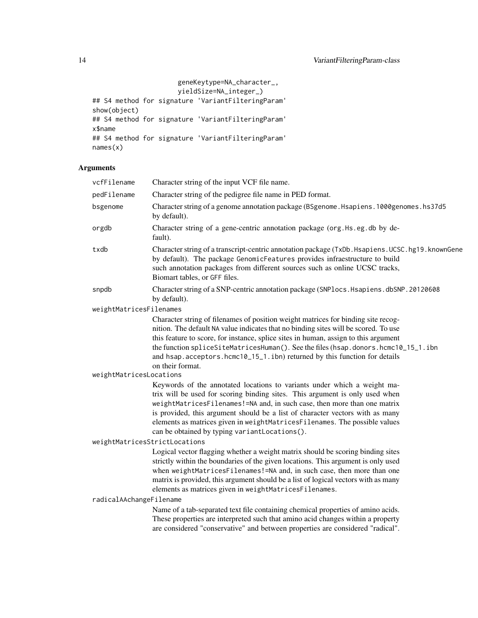```
geneKeytype=NA_character_,
                      yieldSize=NA_integer_)
## S4 method for signature 'VariantFilteringParam'
show(object)
## S4 method for signature 'VariantFilteringParam'
x$name
## S4 method for signature 'VariantFilteringParam'
names(x)
```
### Arguments

| vcfFilename                   | Character string of the input VCF file name.                                                                                                                                                                                                                                                                                                                                                                                                           |
|-------------------------------|--------------------------------------------------------------------------------------------------------------------------------------------------------------------------------------------------------------------------------------------------------------------------------------------------------------------------------------------------------------------------------------------------------------------------------------------------------|
| pedFilename                   | Character string of the pedigree file name in PED format.                                                                                                                                                                                                                                                                                                                                                                                              |
| bsgenome                      | Character string of a genome annotation package (BSgenome. Hsapiens. 1000genomes. hs37d5<br>by default).                                                                                                                                                                                                                                                                                                                                               |
| orgdb                         | Character string of a gene-centric annotation package (org.Hs.eg.db by de-<br>fault).                                                                                                                                                                                                                                                                                                                                                                  |
| txdb                          | Character string of a transcript-centric annotation package (TxDb. Hsapiens. UCSC. hg19. knownGene<br>by default). The package GenomicFeatures provides infraestructure to build<br>such annotation packages from different sources such as online UCSC tracks,<br>Biomart tables, or GFF files.                                                                                                                                                       |
| snpdb                         | Character string of a SNP-centric annotation package (SNPlocs. Hsapiens. dbSNP. 20120608<br>by default).                                                                                                                                                                                                                                                                                                                                               |
| weightMatricesFilenames       |                                                                                                                                                                                                                                                                                                                                                                                                                                                        |
|                               | Character string of filenames of position weight matrices for binding site recog-<br>nition. The default NA value indicates that no binding sites will be scored. To use<br>this feature to score, for instance, splice sites in human, assign to this argument<br>the function spliceSiteMatricesHuman(). See the files (hsap.donors.hcmc10_15_1.ibn<br>and hsap.acceptors.hcmc10_15_1.ibn) returned by this function for details<br>on their format. |
| weightMatricesLocations       |                                                                                                                                                                                                                                                                                                                                                                                                                                                        |
|                               | Keywords of the annotated locations to variants under which a weight ma-<br>trix will be used for scoring binding sites. This argument is only used when<br>weightMatricesFilenames!=NA and, in such case, then more than one matrix<br>is provided, this argument should be a list of character vectors with as many<br>elements as matrices given in weightMatricesFilenames. The possible values<br>can be obtained by typing variantLocations().   |
| weightMatricesStrictLocations |                                                                                                                                                                                                                                                                                                                                                                                                                                                        |
|                               | Logical vector flagging whether a weight matrix should be scoring binding sites<br>strictly within the boundaries of the given locations. This argument is only used<br>when weightMatricesFilenames!=NA and, in such case, then more than one<br>matrix is provided, this argument should be a list of logical vectors with as many<br>elements as matrices given in weightMatricesFilenames.                                                         |
| radicalAAchangeFilename       |                                                                                                                                                                                                                                                                                                                                                                                                                                                        |
|                               | Name of a tab-separated text file containing chemical properties of amino acids.<br>These properties are interpreted such that amino acid changes within a property<br>are considered "conservative" and between properties are considered "radical".                                                                                                                                                                                                  |
|                               |                                                                                                                                                                                                                                                                                                                                                                                                                                                        |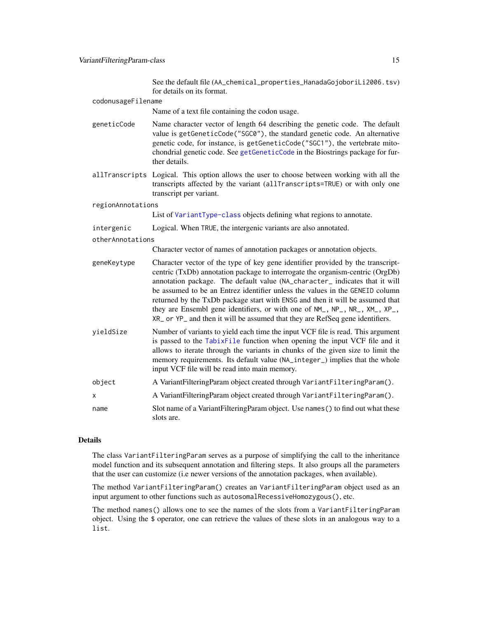See the default file (AA\_chemical\_properties\_HanadaGojoboriLi2006.tsv) for details on its format.

<span id="page-14-0"></span>

|                    | for details on its format.                                                                                                                                                                                                                                                                                                                                                                                                                                                                                                                                                      |  |
|--------------------|---------------------------------------------------------------------------------------------------------------------------------------------------------------------------------------------------------------------------------------------------------------------------------------------------------------------------------------------------------------------------------------------------------------------------------------------------------------------------------------------------------------------------------------------------------------------------------|--|
| codonusageFilename |                                                                                                                                                                                                                                                                                                                                                                                                                                                                                                                                                                                 |  |
|                    | Name of a text file containing the codon usage.                                                                                                                                                                                                                                                                                                                                                                                                                                                                                                                                 |  |
| geneticCode        | Name character vector of length 64 describing the genetic code. The default<br>value is getGeneticCode("SGC0"), the standard genetic code. An alternative<br>genetic code, for instance, is getGeneticCode("SGC1"), the vertebrate mito-<br>chondrial genetic code. See getGeneticCode in the Biostrings package for fur-<br>ther details.                                                                                                                                                                                                                                      |  |
|                    | allTranscripts Logical. This option allows the user to choose between working with all the<br>transcripts affected by the variant (allTranscripts=TRUE) or with only one<br>transcript per variant.                                                                                                                                                                                                                                                                                                                                                                             |  |
| regionAnnotations  |                                                                                                                                                                                                                                                                                                                                                                                                                                                                                                                                                                                 |  |
|                    | List of VariantType-class objects defining what regions to annotate.                                                                                                                                                                                                                                                                                                                                                                                                                                                                                                            |  |
| intergenic         | Logical. When TRUE, the intergenic variants are also annotated.                                                                                                                                                                                                                                                                                                                                                                                                                                                                                                                 |  |
| otherAnnotations   |                                                                                                                                                                                                                                                                                                                                                                                                                                                                                                                                                                                 |  |
|                    | Character vector of names of annotation packages or annotation objects.                                                                                                                                                                                                                                                                                                                                                                                                                                                                                                         |  |
| geneKeytype        | Character vector of the type of key gene identifier provided by the transcript-<br>centric (TxDb) annotation package to interrogate the organism-centric (OrgDb)<br>annotation package. The default value (NA_character_ indicates that it will<br>be assumed to be an Entrez identifier unless the values in the GENEID column<br>returned by the TxDb package start with ENSG and then it will be assumed that<br>they are Ensembl gene identifiers, or with one of NM_, NP_, NR_, XM_, XP_,<br>XR_ or YP_ and then it will be assumed that they are RefSeq gene identifiers. |  |
| yieldSize          | Number of variants to yield each time the input VCF file is read. This argument<br>is passed to the TabixFile function when opening the input VCF file and it<br>allows to iterate through the variants in chunks of the given size to limit the<br>memory requirements. Its default value (NA_integer_) implies that the whole<br>input VCF file will be read into main memory.                                                                                                                                                                                                |  |
| object             | A VariantFilteringParam object created through VariantFilteringParam().                                                                                                                                                                                                                                                                                                                                                                                                                                                                                                         |  |
| X                  | A VariantFilteringParam object created through VariantFilteringParam().                                                                                                                                                                                                                                                                                                                                                                                                                                                                                                         |  |
| name               | Slot name of a Variant Filtering Param object. Use names () to find out what these<br>slots are.                                                                                                                                                                                                                                                                                                                                                                                                                                                                                |  |

#### Details

The class VariantFilteringParam serves as a purpose of simplifying the call to the inheritance model function and its subsequent annotation and filtering steps. It also groups all the parameters that the user can customize (i.e newer versions of the annotation packages, when available).

The method VariantFilteringParam() creates an VariantFilteringParam object used as an input argument to other functions such as autosomalRecessiveHomozygous(), etc.

The method names() allows one to see the names of the slots from a VariantFilteringParam object. Using the \$ operator, one can retrieve the values of these slots in an analogous way to a list.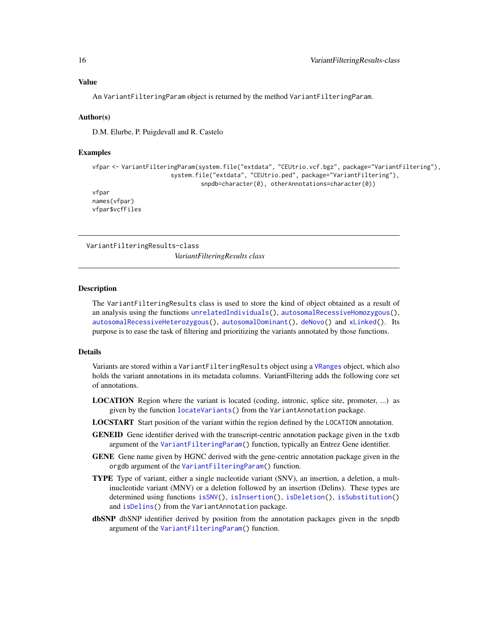#### <span id="page-15-0"></span>Value

An VariantFilteringParam object is returned by the method VariantFilteringParam.

#### Author(s)

D.M. Elurbe, P. Puigdevall and R. Castelo

#### Examples

```
vfpar <- VariantFilteringParam(system.file("extdata", "CEUtrio.vcf.bgz", package="VariantFiltering"),
                      system.file("extdata", "CEUtrio.ped", package="VariantFiltering"),
                               snpdb=character(0), otherAnnotations=character(0))
vfpar
names(vfpar)
vfpar$vcfFiles
```
VariantFilteringResults-class

*VariantFilteringResults class*

#### <span id="page-15-1"></span>Description

The VariantFilteringResults class is used to store the kind of object obtained as a result of an analysis using the functions [unrelatedIndividuals\(](#page-11-1)), [autosomalRecessiveHomozygous\(](#page-5-1)), [autosomalRecessiveHeterozygous\(](#page-4-1)), [autosomalDominant\(](#page-2-1)), [deNovo\(](#page-7-1)) and [xLinked\(](#page-23-1)). Its purpose is to ease the task of filtering and prioritizing the variants annotated by those functions.

#### Details

Variants are stored within a VariantFilteringResults object using a [VRanges](#page-0-0) object, which also holds the variant annotations in its metadata columns. VariantFiltering adds the following core set of annotations.

- LOCATION Region where the variant is located (coding, intronic, splice site, promoter, ...) as given by the function [locateVariants\(](#page-0-0)) from the VariantAnnotation package.
- LOCSTART Start position of the variant within the region defined by the LOCATION annotation.
- GENEID Gene identifier derived with the transcript-centric annotation package given in the txdb argument of the [VariantFilteringParam\(](#page-12-1)) function, typically an Entrez Gene identifier.
- GENE Gene name given by HGNC derived with the gene-centric annotation package given in the orgdb argument of the [VariantFilteringParam\(](#page-12-1)) function.
- TYPE Type of variant, either a single nucleotide variant (SNV), an insertion, a deletion, a multinucleotide variant (MNV) or a deletion followed by an insertion (Delins). These types are determined using functions [isSNV\(](#page-0-0)), [isInsertion\(](#page-0-0)), [isDeletion\(](#page-0-0)), [isSubstitution\(](#page-0-0)) and [isDelins\(](#page-0-0)) from the VariantAnnotation package.
- dbSNP dbSNP identifier derived by position from the annotation packages given in the snpdb argument of the [VariantFilteringParam\(](#page-12-1)) function.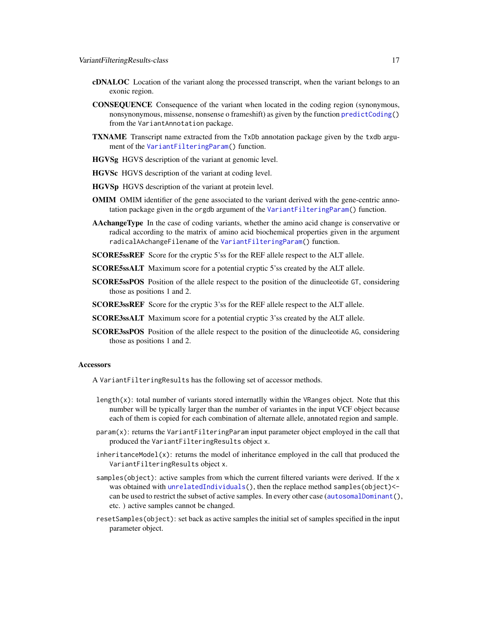- <span id="page-16-0"></span>cDNALOC Location of the variant along the processed transcript, when the variant belongs to an exonic region.
- CONSEQUENCE Consequence of the variant when located in the coding region (synonymous, nonsynonymous, missense, nonsense o frameshift) as given by the function [predictCoding\(](#page-0-0)) from the VariantAnnotation package.
- TXNAME Transcript name extracted from the TxDb annotation package given by the txdb argument of the [VariantFilteringParam\(](#page-12-1)) function.
- HGVSg HGVS description of the variant at genomic level.
- HGVSc HGVS description of the variant at coding level.
- HGVSp HGVS description of the variant at protein level.
- OMIM OMIM identifier of the gene associated to the variant derived with the gene-centric annotation package given in the orgdb argument of the [VariantFilteringParam\(](#page-12-1)) function.
- AAchangeType In the case of coding variants, whether the amino acid change is conservative or radical according to the matrix of amino acid biochemical properties given in the argument radicalAAchangeFilename of the [VariantFilteringParam\(](#page-12-1)) function.
- **SCORE5ssREF** Score for the cryptic 5's for the REF allele respect to the ALT allele.
- SCORE5ssALT Maximum score for a potential cryptic 5'ss created by the ALT allele.
- SCORE5ssPOS Position of the allele respect to the position of the dinucleotide GT, considering those as positions 1 and 2.
- SCORE3ssREF Score for the cryptic 3'ss for the REF allele respect to the ALT allele.
- SCORE3ssALT Maximum score for a potential cryptic 3'ss created by the ALT allele.
- SCORE3ssPOS Position of the allele respect to the position of the dinucleotide AG, considering those as positions 1 and 2.

#### **Accessors**

A VariantFilteringResults has the following set of accessor methods.

- length $(x)$ : total number of variants stored internatily within the VRanges object. Note that this number will be typically larger than the number of variantes in the input VCF object because each of them is copied for each combination of alternate allele, annotated region and sample.
- param(x): returns the VariantFilteringParam input parameter object employed in the call that produced the VariantFilteringResults object x.
- inheritanceModel(x): returns the model of inheritance employed in the call that produced the VariantFilteringResults object x.
- samples(object): active samples from which the current filtered variants were derived. If the x was obtained with [unrelatedIndividuals\(](#page-11-1)), then the replace method samples(object) <can be used to restrict the subset of active samples. In every other case ([autosomalDominant\(](#page-2-1)), etc. ) active samples cannot be changed.
- resetSamples(object): set back as active samples the initial set of samples specified in the input parameter object.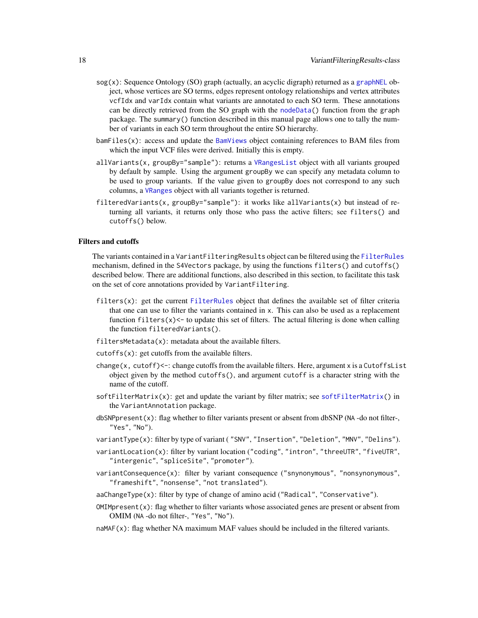- <span id="page-17-0"></span> $sog(x)$ : Sequence Ontology (SO) graph (actually, an acyclic digraph) returned as a [graphNEL](#page-0-0) object, whose vertices are SO terms, edges represent ontology relationships and vertex attributes vcfIdx and varIdx contain what variants are annotated to each SO term. These annotations can be directly retrieved from the SO graph with the [nodeData\(](#page-0-0)) function from the graph package. The summary() function described in this manual page allows one to tally the number of variants in each SO term throughout the entire SO hierarchy.
- bamFiles(x): access and update the [BamViews](#page-0-0) object containing references to BAM files from which the input VCF files were derived. Initially this is empty.
- allVariants(x, groupBy="sample"): returns a [VRangesList](#page-0-0) object with all variants grouped by default by sample. Using the argument groupBy we can specify any metadata column to be used to group variants. If the value given to groupBy does not correspond to any such columns, a [VRanges](#page-0-0) object with all variants together is returned.
- filteredVariants(x, groupBy="sample"): it works like allVariants(x) but instead of returning all variants, it returns only those who pass the active filters; see filters() and cutoffs() below.

#### Filters and cutoffs

The variants contained in a VariantFilteringResults object can be filtered using the [FilterRules](#page-0-0) mechanism, defined in the S4Vectors package, by using the functions filters() and cutoffs() described below. There are additional functions, also described in this section, to facilitate this task on the set of core annotations provided by VariantFiltering.

- filters(x): get the current [FilterRules](#page-0-0) object that defines the available set of filter criteria that one can use to filter the variants contained in x. This can also be used as a replacement function  $filters(x)<-$  to update this set of filters. The actual filtering is done when calling the function filteredVariants().
- filtersMetadata(x): metadata about the available filters.
- $cutoffs(x)$ : get cutoffs from the available filters.
- change(x, cutoff) $\le$  : change cutoffs from the available filters. Here, argument x is a CutoffsList object given by the method cutoffs(), and argument cutoff is a character string with the name of the cutoff.
- $softFilterMatrix(x)$  $softFilterMatrix(x)$ : get and update the variant by filter matrix; see softFilterMatrix() in the VariantAnnotation package.
- $dbSNPpresent(x)$ : flag whether to filter variants present or absent from dbSNP (NA -do not filter-, "Yes", "No").
- variantType(x): filter by type of variant ( "SNV", "Insertion", "Deletion", "MNV", "Delins").
- variantLocation(x): filter by variant location ("coding", "intron", "threeUTR", "fiveUTR", "intergenic", "spliceSite", "promoter").
- variantConsequence(x): filter by variant consequence ("snynonymous", "nonsynonymous", "frameshift", "nonsense", "not translated").
- aaChangeType(x): filter by type of change of amino acid ("Radical", "Conservative").
- $OMIMpresent(x)$ : flag whether to filter variants whose associated genes are present or absent from OMIM (NA -do not filter-, "Yes", "No").
- naMAF(x): flag whether NA maximum MAF values should be included in the filtered variants.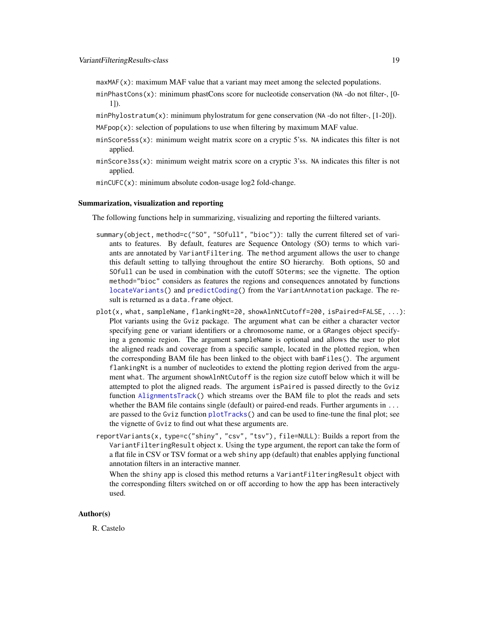<span id="page-18-0"></span> $maxMAF(x)$ : maximum MAF value that a variant may meet among the selected populations.

- minPhastCons $(x)$ : minimum phastCons score for nucleotide conservation (NA -do not filter-, [0-1]).
- minPhylostratum(x): minimum phylostratum for gene conservation (NA -do not filter-, [1-20]).
- MAFpop $(x)$ : selection of populations to use when filtering by maximum MAF value.
- minScore5ss(x): minimum weight matrix score on a cryptic 5'ss. NA indicates this filter is not applied.
- minScore3ss(x): minimum weight matrix score on a cryptic 3'ss. NA indicates this filter is not applied.
- minCUFC(x): minimum absolute codon-usage log2 fold-change.

#### Summarization, visualization and reporting

The following functions help in summarizing, visualizing and reporting the fiiltered variants.

- summary(object, method=c("SO", "SOfull", "bioc")): tally the current filtered set of variants to features. By default, features are Sequence Ontology (SO) terms to which variants are annotated by VariantFiltering. The method argument allows the user to change this default setting to tallying throughout the entire SO hierarchy. Both options, SO and SOfull can be used in combination with the cutoff SOterms; see the vignette. The option method="bioc" considers as features the regions and consequences annotated by functions [locateVariants\(](#page-0-0)) and [predictCoding\(](#page-0-0)) from the VariantAnnotation package. The result is returned as a data. frame object.
- plot(x, what, sampleName, flankingNt=20, showAlnNtCutoff=200, isPaired=FALSE, ...): Plot variants using the Gviz package. The argument what can be either a character vector specifying gene or variant identifiers or a chromosome name, or a GRanges object specifying a genomic region. The argument sampleName is optional and allows the user to plot the aligned reads and coverage from a specific sample, located in the plotted region, when the corresponding BAM file has been linked to the object with bamFiles(). The argument flankingNt is a number of nucleotides to extend the plotting region derived from the argument what. The argument showAlnNtCutoff is the region size cutoff below which it will be attempted to plot the aligned reads. The argument isPaired is passed directly to the Gviz function [AlignmentsTrack\(](#page-0-0)) which streams over the BAM file to plot the reads and sets whether the BAM file contains single (default) or paired-end reads. Further arguments in ... are passed to the Gviz function [plotTracks\(](#page-0-0)) and can be used to fine-tune the final plot; see the vignette of Gviz to find out what these arguments are.
- reportVariants(x, type=c("shiny", "csv", "tsv"), file=NULL): Builds a report from the VariantFilteringResult object x. Using the type argument, the report can take the form of a flat file in CSV or TSV format or a web shiny app (default) that enables applying functional annotation filters in an interactive manner.

When the shiny app is closed this method returns a VariantFilteringResult object with the corresponding filters switched on or off according to how the app has been interactively used.

#### Author(s)

R. Castelo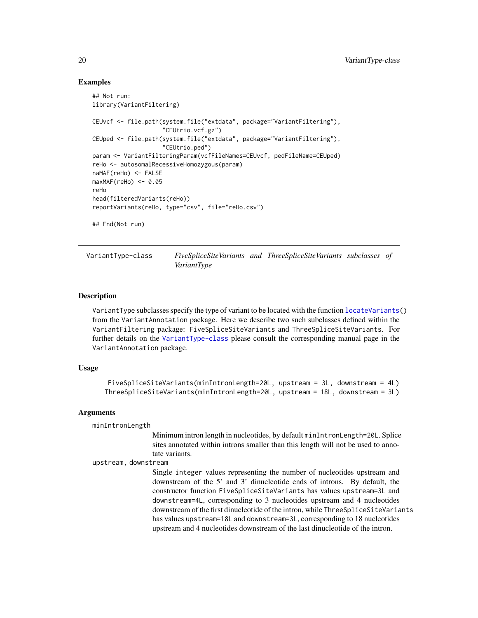#### Examples

```
## Not run:
library(VariantFiltering)
CEUvcf <- file.path(system.file("extdata", package="VariantFiltering"),
                    "CEUtrio.vcf.gz")
CEUped <- file.path(system.file("extdata", package="VariantFiltering"),
                    "CEUtrio.ped")
param <- VariantFilteringParam(vcfFileNames=CEUvcf, pedFileName=CEUped)
reHo <- autosomalRecessiveHomozygous(param)
naMAF(reHo) <- FALSE
maxMAF(reHo) <- 0.05
reHo
head(filteredVariants(reHo))
reportVariants(reHo, type="csv", file="reHo.csv")
## End(Not run)
```
<span id="page-19-1"></span>VariantType-class *FiveSpliceSiteVariants and ThreeSpliceSiteVariants subclasses of VariantType*

#### Description

VariantType subclasses specify the type of variant to be located with the function [locateVariants\(](#page-0-0)) from the VariantAnnotation package. Here we describe two such subclasses defined within the VariantFiltering package: FiveSpliceSiteVariants and ThreeSpliceSiteVariants. For further details on the [VariantType-class](#page-19-1) please consult the corresponding manual page in the VariantAnnotation package.

#### Usage

```
FiveSpliceSiteVariants(minIntronLength=20L, upstream = 3L, downstream = 4L)
ThreeSpliceSiteVariants(minIntronLength=20L, upstream = 18L, downstream = 3L)
```
#### Arguments

```
minIntronLength
```
Minimum intron length in nucleotides, by default minIntronLength=20L. Splice sites annotated within introns smaller than this length will not be used to annotate variants.

```
upstream, downstream
```
Single integer values representing the number of nucleotides upstream and downstream of the 5' and 3' dinucleotide ends of introns. By default, the constructor function FiveSpliceSiteVariants has values upstream=3L and downstream=4L, corresponding to 3 nucleotides upstream and 4 nucleotides downstream of the first dinucleotide of the intron, while ThreeSpliceSiteVariants has values upstream=18L and downstream=3L, corresponding to 18 nucleotides upstream and 4 nucleotides downstream of the last dinucleotide of the intron.

<span id="page-19-0"></span>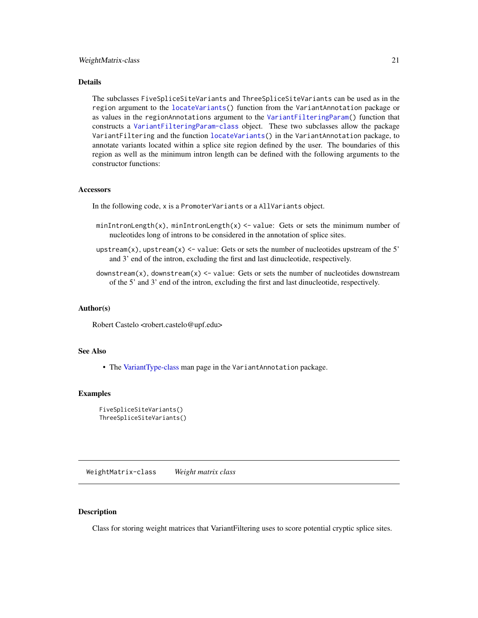#### <span id="page-20-0"></span>Details

The subclasses FiveSpliceSiteVariants and ThreeSpliceSiteVariants can be used as in the region argument to the [locateVariants\(](#page-0-0)) function from the VariantAnnotation package or as values in the regionAnnotations argument to the [VariantFilteringParam\(](#page-12-1)) function that constructs a [VariantFilteringParam-class](#page-12-2) object. These two subclasses allow the package VariantFiltering and the function [locateVariants\(](#page-0-0)) in the VariantAnnotation package, to annotate variants located within a splice site region defined by the user. The boundaries of this region as well as the minimum intron length can be defined with the following arguments to the constructor functions:

#### **Accessors**

In the following code, x is a PromoterVariants or a AllVariants object.

- minIntronLength(x), minIntronLength(x)  $\le$  value: Gets or sets the minimum number of nucleotides long of introns to be considered in the annotation of splice sites.
- upstream(x), upstream(x)  $\le$  value: Gets or sets the number of nucleotides upstream of the 5' and 3' end of the intron, excluding the first and last dinucleotide, respectively.
- downstream $(x)$ , downstream $(x)$  <- value: Gets or sets the number of nucleotides downstream of the 5' and 3' end of the intron, excluding the first and last dinucleotide, respectively.

#### Author(s)

Robert Castelo <robert.castelo@upf.edu>

#### See Also

• The [VariantType-class](#page-19-1) man page in the VariantAnnotation package.

#### Examples

```
FiveSpliceSiteVariants()
ThreeSpliceSiteVariants()
```
WeightMatrix-class *Weight matrix class*

#### **Description**

Class for storing weight matrices that VariantFiltering uses to score potential cryptic splice sites.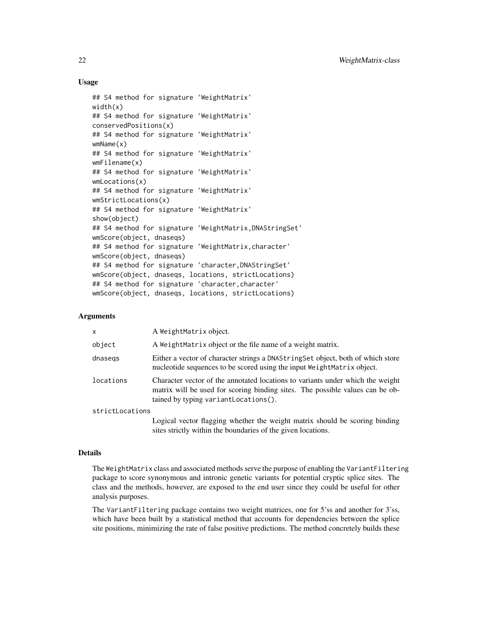#### Usage

```
## S4 method for signature 'WeightMatrix'
width(x)
## S4 method for signature 'WeightMatrix'
conservedPositions(x)
## S4 method for signature 'WeightMatrix'
wmName(x)
## S4 method for signature 'WeightMatrix'
wmFilename(x)
## S4 method for signature 'WeightMatrix'
wmLocations(x)
## S4 method for signature 'WeightMatrix'
wmStrictLocations(x)
## S4 method for signature 'WeightMatrix'
show(object)
## S4 method for signature 'WeightMatrix,DNAStringSet'
wmScore(object, dnaseqs)
## S4 method for signature 'WeightMatrix,character'
wmScore(object, dnaseqs)
## S4 method for signature 'character,DNAStringSet'
wmScore(object, dnaseqs, locations, strictLocations)
## S4 method for signature 'character, character'
wmScore(object, dnaseqs, locations, strictLocations)
```
#### Arguments

| $\mathsf{x}$    | A WeightMatrix object.                                                                                                                                                                                    |
|-----------------|-----------------------------------------------------------------------------------------------------------------------------------------------------------------------------------------------------------|
| object          | A WeightMatrix object or the file name of a weight matrix.                                                                                                                                                |
| dnasegs         | Either a vector of character strings a DNAString Set object, both of which store<br>nucleotide sequences to be scored using the input WeightMatrix object.                                                |
| locations       | Character vector of the annotated locations to variants under which the weight<br>matrix will be used for scoring binding sites. The possible values can be ob-<br>tained by typing variant Locations (). |
| strictLocations |                                                                                                                                                                                                           |
|                 | Logical vector flagging whether the weight matrix should be scoring binding                                                                                                                               |

sites strictly within the boundaries of the given locations.

#### Details

The WeightMatrix class and associated methods serve the purpose of enabling the VariantFiltering package to score synonymous and intronic genetic variants for potential cryptic splice sites. The class and the methods, however, are exposed to the end user since they could be useful for other analysis purposes.

The VariantFiltering package contains two weight matrices, one for 5'ss and another for 3'ss, which have been built by a statistical method that accounts for dependencies between the splice site positions, minimizing the rate of false positive predictions. The method concretely builds these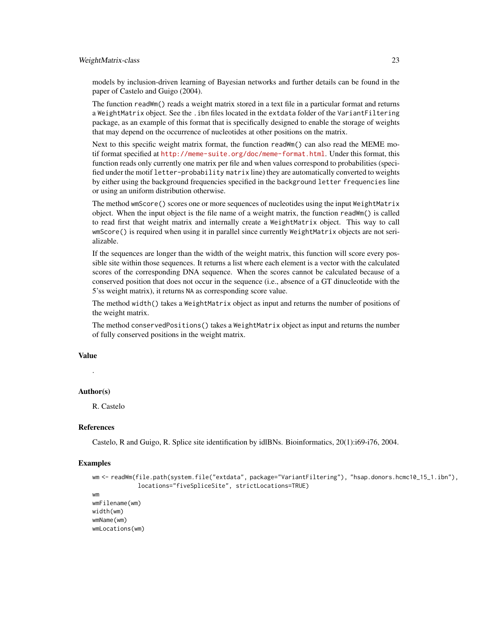#### WeightMatrix-class 23

models by inclusion-driven learning of Bayesian networks and further details can be found in the paper of Castelo and Guigo (2004).

The function readWm() reads a weight matrix stored in a text file in a particular format and returns a WeightMatrix object. See the .ibn files located in the extdata folder of the VariantFiltering package, as an example of this format that is specifically designed to enable the storage of weights that may depend on the occurrence of nucleotides at other positions on the matrix.

Next to this specific weight matrix format, the function readWm() can also read the MEME motif format specified at <http://meme-suite.org/doc/meme-format.html>. Under this format, this function reads only currently one matrix per file and when values correspond to probabilities (specified under the motif letter-probability matrix line) they are automatically converted to weights by either using the background frequencies specified in the background letter frequencies line or using an uniform distribution otherwise.

The method wmScore() scores one or more sequences of nucleotides using the input WeightMatrix object. When the input object is the file name of a weight matrix, the function readWm() is called to read first that weight matrix and internally create a WeightMatrix object. This way to call wmScore() is required when using it in parallel since currently WeightMatrix objects are not serializable.

If the sequences are longer than the width of the weight matrix, this function will score every possible site within those sequences. It returns a list where each element is a vector with the calculated scores of the corresponding DNA sequence. When the scores cannot be calculated because of a conserved position that does not occur in the sequence (i.e., absence of a GT dinucleotide with the 5'ss weight matrix), it returns NA as corresponding score value.

The method width() takes a WeightMatrix object as input and returns the number of positions of the weight matrix.

The method conservedPositions() takes a WeightMatrix object as input and returns the number of fully conserved positions in the weight matrix.

#### Value

.

#### Author(s)

R. Castelo

#### **References**

Castelo, R and Guigo, R. Splice site identification by idlBNs. Bioinformatics, 20(1):i69-i76, 2004.

#### Examples

```
wm <- readWm(file.path(system.file("extdata", package="VariantFiltering"), "hsap.donors.hcmc10_15_1.ibn"),
             locations="fiveSpliceSite", strictLocations=TRUE)
wm
wmFilename(wm)
width(wm)
```
wmName(wm) wmLocations(wm)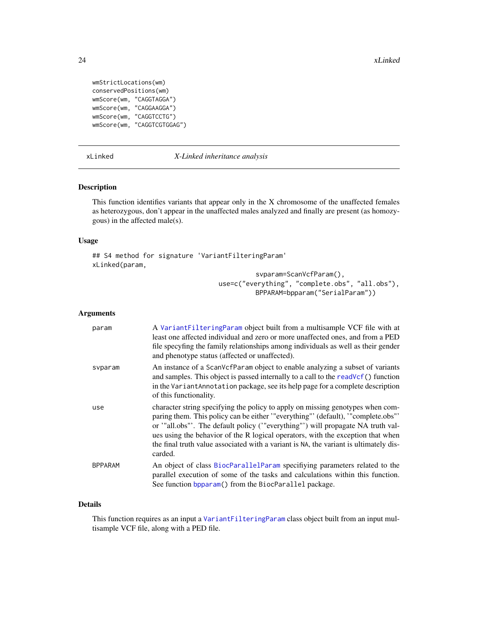```
wmStrictLocations(wm)
conservedPositions(wm)
wmScore(wm, "CAGGTAGGA")
wmScore(wm, "CAGGAAGGA")
wmScore(wm, "CAGGTCCTG")
wmScore(wm, "CAGGTCGTGGAG")
```
#### <span id="page-23-1"></span>xLinked *X-Linked inheritance analysis*

#### Description

This function identifies variants that appear only in the X chromosome of the unaffected females as heterozygous, don't appear in the unaffected males analyzed and finally are present (as homozygous) in the affected male(s).

#### Usage

```
## S4 method for signature 'VariantFilteringParam'
xLinked(param,
                                          svparam=ScanVcfParam(),
```
use=c("everything", "complete.obs", "all.obs"), BPPARAM=bpparam("SerialParam"))

#### Arguments

| param          | A Variant Filtering Param object built from a multisample VCF file with at<br>least one affected individual and zero or more unaffected ones, and from a PED<br>file specyfing the family relationships among individuals as well as their gender<br>and phenotype status (affected or unaffected).                                                                                                                                        |
|----------------|--------------------------------------------------------------------------------------------------------------------------------------------------------------------------------------------------------------------------------------------------------------------------------------------------------------------------------------------------------------------------------------------------------------------------------------------|
| svparam        | An instance of a ScanVcfParam object to enable analyzing a subset of variants<br>and samples. This object is passed internally to a call to the readVcf() function<br>in the VariantAnnotation package, see its help page for a complete description<br>of this functionality.                                                                                                                                                             |
| use            | character string specifying the policy to apply on missing genotypes when com-<br>paring them. This policy can be either "everything" (default), "complete.obs"<br>or '"all.obs"'. The default policy ('"everything"') will propagate NA truth val-<br>ues using the behavior of the R logical operators, with the exception that when<br>the final truth value associated with a variant is NA, the variant is ultimately dis-<br>carded. |
| <b>BPPARAM</b> | An object of class BiocParallelParam specifiying parameters related to the<br>parallel execution of some of the tasks and calculations within this function.<br>See function bpparam() from the BiocParallel package.                                                                                                                                                                                                                      |

#### Details

This function requires as an input a [VariantFilteringParam](#page-12-1) class object built from an input multisample VCF file, along with a PED file.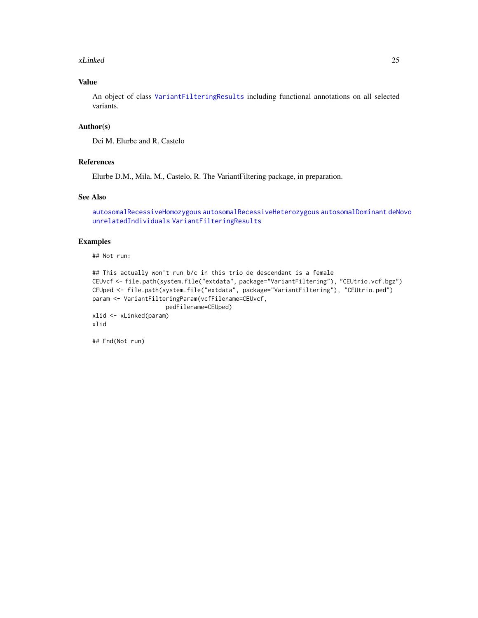#### <span id="page-24-0"></span>xLinked 25

#### Value

An object of class [VariantFilteringResults](#page-15-1) including functional annotations on all selected variants.

#### Author(s)

Dei M. Elurbe and R. Castelo

#### References

Elurbe D.M., Mila, M., Castelo, R. The VariantFiltering package, in preparation.

#### See Also

```
autosomalRecessiveHomozygous autosomalRecessiveHeterozygous autosomalDominant deNovo
unrelatedIndividuals VariantFilteringResults
```
#### Examples

## Not run:

```
## This actually won't run b/c in this trio de descendant is a female
CEUvcf <- file.path(system.file("extdata", package="VariantFiltering"), "CEUtrio.vcf.bgz")
CEUped <- file.path(system.file("extdata", package="VariantFiltering"), "CEUtrio.ped")
param <- VariantFilteringParam(vcfFilename=CEUvcf,
                     pedFilename=CEUped)
xlid <- xLinked(param)
xlid
```
## End(Not run)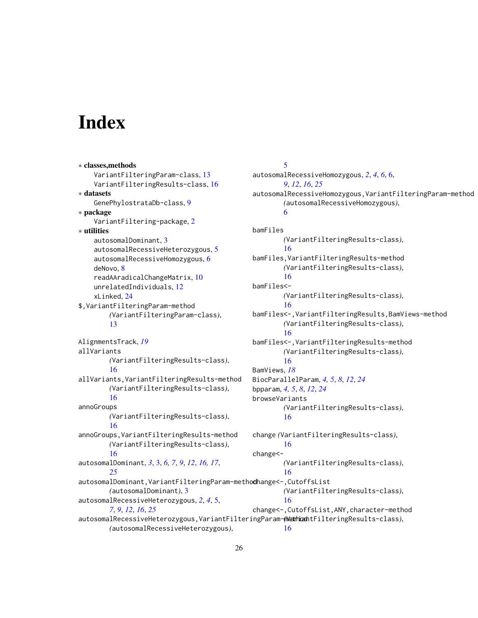# <span id="page-25-0"></span>**Index**

∗ classes,methods VariantFilteringParam-class, [13](#page-12-0) VariantFilteringResults-class, [16](#page-15-0) ∗ datasets GenePhylostrataDb-class, [9](#page-8-0) ∗ package VariantFiltering-package, [2](#page-1-0) ∗ utilities autosomalDominant, [3](#page-2-0) autosomalRecessiveHeterozygous, [5](#page-4-0) autosomalRecessiveHomozygous, [6](#page-5-0) deNovo, [8](#page-7-0) readAAradicalChangeMatrix, [10](#page-9-0) unrelatedIndividuals, [12](#page-11-0) xLinked, [24](#page-23-0) \$,VariantFilteringParam-method *(*VariantFilteringParam-class*)*, [13](#page-12-0) AlignmentsTrack, *[19](#page-18-0)* allVariants *(*VariantFilteringResults-class*)*, [16](#page-15-0) allVariants,VariantFilteringResults-method *(*VariantFilteringResults-class*)*, [16](#page-15-0) annoGroups *(*VariantFilteringResults-class*)*, [16](#page-15-0) annoGroups,VariantFilteringResults-method *(*VariantFilteringResults-class*)*, [16](#page-15-0) autosomalDominant, *[3](#page-2-0)*, [3,](#page-2-0) *[6,](#page-5-0) [7](#page-6-0)*, *[9](#page-8-0)*, *[12](#page-11-0)*, *[16,](#page-15-0) [17](#page-16-0)*, *[25](#page-24-0)* autosomalDominant, VariantFilteringParam-methodhange<-, CutoffsList *(*autosomalDominant*)*, [3](#page-2-0) autosomalRecessiveHeterozygous, *[2](#page-1-0)*, *[4](#page-3-0)*, [5,](#page-4-0) *[7](#page-6-0)*, *[9](#page-8-0)*, *[12](#page-11-0)*, *[16](#page-15-0)*, *[25](#page-24-0)* autosomalRecessiveHeterozygous,VariantFilteringParam-method *(*VariantFilteringResults-class*)*, *(*autosomalRecessiveHeterozygous*)*, [5](#page-4-0) [6](#page-5-0) bamFiles change<-

autosomalRecessiveHomozygous, *[2](#page-1-0)*, *[4](#page-3-0)*, *[6](#page-5-0)*, [6,](#page-5-0) *[9](#page-8-0)*, *[12](#page-11-0)*, *[16](#page-15-0)*, *[25](#page-24-0)* autosomalRecessiveHomozygous,VariantFilteringParam-method *(*autosomalRecessiveHomozygous*)*, *(*VariantFilteringResults-class*)*, [16](#page-15-0) bamFiles,VariantFilteringResults-method *(*VariantFilteringResults-class*)*, [16](#page-15-0) bamFiles<- *(*VariantFilteringResults-class*)*, [16](#page-15-0) bamFiles<-,VariantFilteringResults,BamViews-method *(*VariantFilteringResults-class*)*, [16](#page-15-0) bamFiles<-,VariantFilteringResults-method *(*VariantFilteringResults-class*)*, [16](#page-15-0) BamViews, *[18](#page-17-0)* BiocParallelParam, *[4,](#page-3-0) [5](#page-4-0)*, *[8](#page-7-0)*, *[12](#page-11-0)*, *[24](#page-23-0)* bpparam, *[4,](#page-3-0) [5](#page-4-0)*, *[8](#page-7-0)*, *[12](#page-11-0)*, *[24](#page-23-0)* browseVariants *(*VariantFilteringResults-class*)*, [16](#page-15-0) change *(*VariantFilteringResults-class*)*, [16](#page-15-0) *(*VariantFilteringResults-class*)*, [16](#page-15-0) *(*VariantFilteringResults-class*)*, [16](#page-15-0) change<-,CutoffsList,ANY,character-method [16](#page-15-0)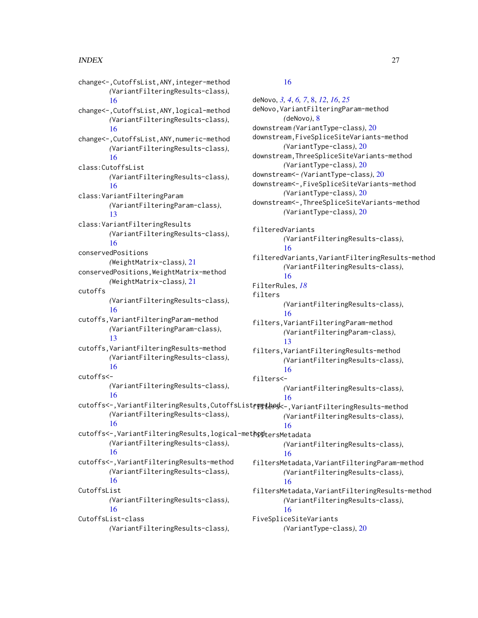change<-,CutoffsList,ANY,integer-method *(*VariantFilteringResults-class*)*, [16](#page-15-0) change<-,CutoffsList,ANY,logical-method *(*VariantFilteringResults-class*)*, [16](#page-15-0) change<-,CutoffsList,ANY,numeric-method *(*VariantFilteringResults-class*)*, [16](#page-15-0) class:CutoffsList *(*VariantFilteringResults-class*)*, [16](#page-15-0) class:VariantFilteringParam *(*VariantFilteringParam-class*)*, [13](#page-12-0) class:VariantFilteringResults *(*VariantFilteringResults-class*)*, [16](#page-15-0) conservedPositions *(*WeightMatrix-class*)*, [21](#page-20-0) conservedPositions,WeightMatrix-method *(*WeightMatrix-class*)*, [21](#page-20-0) cutoffs *(*VariantFilteringResults-class*)*, [16](#page-15-0) cutoffs,VariantFilteringParam-method *(*VariantFilteringParam-class*)*, [13](#page-12-0) cutoffs,VariantFilteringResults-method *(*VariantFilteringResults-class*)*, [16](#page-15-0) cutoffs<- *(*VariantFilteringResults-class*)*, [16](#page-15-0) cutoffs<-,VariantFilteringResults,CutoffsListemptaes *(*VariantFilteringResults-class*)*, [16](#page-15-0) cutoffs<-,VariantFilteringResults,logical-meth $\mathbf{p}$ dtersMetadata *(*VariantFilteringResults-class*)*, [16](#page-15-0) cutoffs<-,VariantFilteringResults-method *(*VariantFilteringResults-class*)*, [16](#page-15-0) CutoffsList *(*VariantFilteringResults-class*)*, [16](#page-15-0) CutoffsList-class

## *(*VariantFilteringResults-class*)*,

#### [16](#page-15-0)

deNovo, *[3,](#page-2-0) [4](#page-3-0)*, *[6,](#page-5-0) [7](#page-6-0)*, [8,](#page-7-0) *[12](#page-11-0)*, *[16](#page-15-0)*, *[25](#page-24-0)* deNovo,VariantFilteringParam-method *(*deNovo*)*, [8](#page-7-0) downstream *(*VariantType-class*)*, [20](#page-19-0) downstream,FiveSpliceSiteVariants-method *(*VariantType-class*)*, [20](#page-19-0) downstream,ThreeSpliceSiteVariants-method *(*VariantType-class*)*, [20](#page-19-0) downstream<- *(*VariantType-class*)*, [20](#page-19-0) downstream<-,FiveSpliceSiteVariants-method *(*VariantType-class*)*, [20](#page-19-0) downstream<-,ThreeSpliceSiteVariants-method *(*VariantType-class*)*, [20](#page-19-0) filteredVariants *(*VariantFilteringResults-class*)*, [16](#page-15-0) filteredVariants,VariantFilteringResults-method *(*VariantFilteringResults-class*)*, [16](#page-15-0) FilterRules, *[18](#page-17-0)* filters *(*VariantFilteringResults-class*)*, [16](#page-15-0) filters,VariantFilteringParam-method *(*VariantFilteringParam-class*)*, [13](#page-12-0) filters,VariantFilteringResults-method *(*VariantFilteringResults-class*)*, [16](#page-15-0) filters<- *(*VariantFilteringResults-class*)*, [16](#page-15-0) filters<-,VariantFilteringResults-method *(*VariantFilteringResults-class*)*, [16](#page-15-0) *(*VariantFilteringResults-class*)*, [16](#page-15-0) filtersMetadata,VariantFilteringParam-method *(*VariantFilteringResults-class*)*, [16](#page-15-0) filtersMetadata,VariantFilteringResults-method *(*VariantFilteringResults-class*)*, [16](#page-15-0) FiveSpliceSiteVariants *(*VariantType-class*)*, [20](#page-19-0)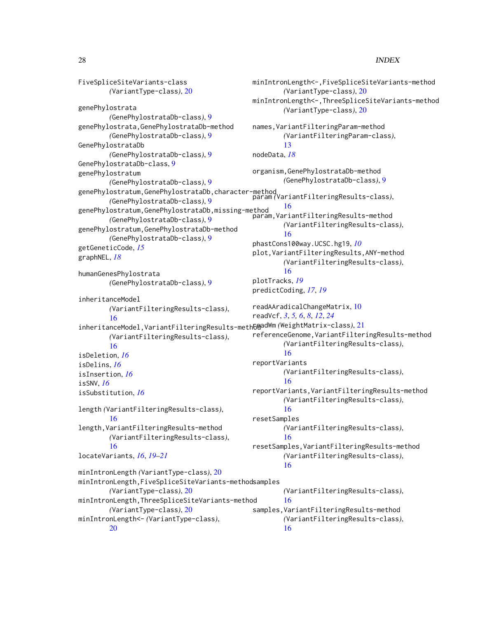```
FiveSpliceSiteVariants-class
       (VariantType-class), 20
genePhylostrata
       (GenePhylostrataDb-class), 9
genePhylostrata,GenePhylostrataDb-method
       (GenePhylostrataDb-class), 9
GenePhylostrataDb
       (GenePhylostrataDb-class), 9
GenePhylostrataDb-class, 9
genePhylostratum
       (GenePhylostrataDb-class), 9
genePhylostratum,GenePhylostrataDb,character-method
param (VariantFilteringResults-class),
        (GenePhylostrataDb-class), 9
16<br>genePhylostratum,GenePhylostrataDb,missing-method
       (GenePhylostrataDb-class), 9
genePhylostratum,GenePhylostrataDb-method
       (GenePhylostrataDb-class), 9
getGeneticCode, 15
graphNEL, 18
humanGenesPhylostrata
       (GenePhylostrataDb-class), 9
inheritanceModel
       (VariantFilteringResults-class),
        16
21
       (VariantFilteringResults-class),
        16
isDeletion, 16
isDelins, 16
isInsertion, 16
isSNV, 16
isSubstitution, 16
length (VariantFilteringResults-class),
        16
length,VariantFilteringResults-method
       (VariantFilteringResults-class),
        16
locateVariants, 16, 19–21
minIntronLength (VariantType-class), 20
minIntronLength,FiveSpliceSiteVariants-method
samples
       (VariantType-class), 20
minIntronLength,ThreeSpliceSiteVariants-method
       (VariantType-class), 20
minIntronLength<- (VariantType-class),
       20
                                             minIntronLength<-,FiveSpliceSiteVariants-method
                                                     (VariantType-class), 20
                                             minIntronLength<-,ThreeSpliceSiteVariants-method
                                                     (VariantType-class), 20
                                             names,VariantFilteringParam-method
                                                     (VariantFilteringParam-class),
                                                     13
                                             nodeData, 18
                                             organism,GenePhylostrataDb-method
                                                     (GenePhylostrataDb-class), 9
                                              param,VariantFilteringResults-method
                                                     (VariantFilteringResults-class),
                                                     16
                                             phastCons100way.UCSC.hg19, 10
                                             plot,VariantFilteringResults,ANY-method
                                                     (VariantFilteringResults-class),
                                                     16
                                             plotTracks, 19
                                             predictCoding, 17, 19
                                             readAAradicalChangeMatrix, 10
                                             readVcf, 3, 5, 6, 8, 12, 24
                                             referenceGenome,VariantFilteringResults-method
                                                     (VariantFilteringResults-class),
                                                     16
                                             reportVariants
                                                     (VariantFilteringResults-class),
                                                      16
                                             reportVariants,VariantFilteringResults-method
                                                     (VariantFilteringResults-class),
                                                     16
                                             resetSamples
                                                     (VariantFilteringResults-class),
                                                      16
                                             resetSamples,VariantFilteringResults-method
                                                     (VariantFilteringResults-class),
                                                     16
                                                     (VariantFilteringResults-class),
                                                      16
                                             samples,VariantFilteringResults-method
                                                     (VariantFilteringResults-class),
                                                     16
```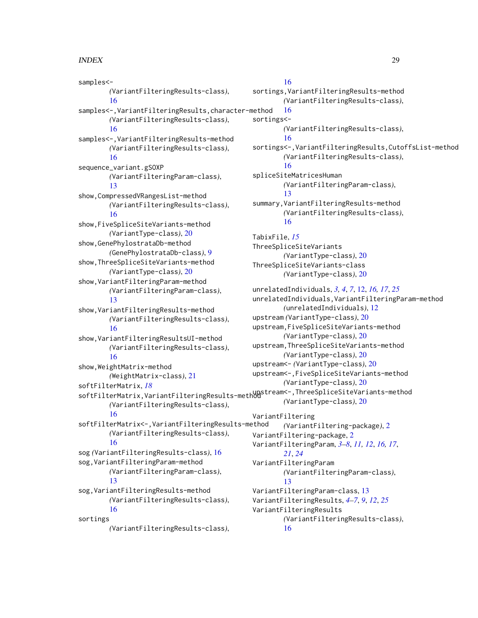samples<- *(*VariantFilteringResults-class*)*, [16](#page-15-0) samples<-,VariantFilteringResults,character-method *(*VariantFilteringResults-class*)*, [16](#page-15-0) samples<-,VariantFilteringResults-method *(*VariantFilteringResults-class*)*, [16](#page-15-0) sequence\_variant.gSOXP *(*VariantFilteringParam-class*)*, [13](#page-12-0) show,CompressedVRangesList-method *(*VariantFilteringResults-class*)*, [16](#page-15-0) show,FiveSpliceSiteVariants-method *(*VariantType-class*)*, [20](#page-19-0) show,GenePhylostrataDb-method *(*GenePhylostrataDb-class*)*, [9](#page-8-0) show,ThreeSpliceSiteVariants-method *(*VariantType-class*)*, [20](#page-19-0) show,VariantFilteringParam-method *(*VariantFilteringParam-class*)*, [13](#page-12-0) show,VariantFilteringResults-method *(*VariantFilteringResults-class*)*, [16](#page-15-0) show,VariantFilteringResultsUI-method *(*VariantFilteringResults-class*)*, [16](#page-15-0) show,WeightMatrix-method *(*WeightMatrix-class*)*, [21](#page-20-0) softFilterMatrix, *[18](#page-17-0)* softFilterMatrix,VariantFilteringResults-method upstream<-,ThreeSpliceSiteVariants-method *(*VariantFilteringResults-class*)*, [16](#page-15-0) softFilterMatrix<-,VariantFilteringResults-method *(*VariantFilteringResults-class*)*, [16](#page-15-0) sog *(*VariantFilteringResults-class*)*, [16](#page-15-0) sog,VariantFilteringParam-method *(*VariantFilteringParam-class*)*, [13](#page-12-0) sog,VariantFilteringResults-method *(*VariantFilteringResults-class*)*, [16](#page-15-0) sortings *(*VariantFilteringResults-class*)*, [16](#page-15-0) sortings<- [16](#page-15-0)

sortings,VariantFilteringResults-method *(*VariantFilteringResults-class*)*, [16](#page-15-0) *(*VariantFilteringResults-class*)*, [16](#page-15-0) sortings<-,VariantFilteringResults,CutoffsList-method *(*VariantFilteringResults-class*)*, [16](#page-15-0) spliceSiteMatricesHuman *(*VariantFilteringParam-class*)*, [13](#page-12-0) summary,VariantFilteringResults-method *(*VariantFilteringResults-class*)*, [16](#page-15-0) TabixFile, *[15](#page-14-0)* ThreeSpliceSiteVariants *(*VariantType-class*)*, [20](#page-19-0) ThreeSpliceSiteVariants-class *(*VariantType-class*)*, [20](#page-19-0) unrelatedIndividuals, *[3,](#page-2-0) [4](#page-3-0)*, *[7](#page-6-0)*, [12,](#page-11-0) *[16,](#page-15-0) [17](#page-16-0)*, *[25](#page-24-0)* unrelatedIndividuals,VariantFilteringParam-method *(*unrelatedIndividuals*)*, [12](#page-11-0) upstream *(*VariantType-class*)*, [20](#page-19-0) upstream,FiveSpliceSiteVariants-method *(*VariantType-class*)*, [20](#page-19-0) upstream,ThreeSpliceSiteVariants-method *(*VariantType-class*)*, [20](#page-19-0) upstream<- *(*VariantType-class*)*, [20](#page-19-0) upstream<-,FiveSpliceSiteVariants-method *(*VariantType-class*)*, [20](#page-19-0) *(*VariantType-class*)*, [20](#page-19-0) VariantFiltering *(*VariantFiltering-package*)*, [2](#page-1-0) VariantFiltering-package, [2](#page-1-0) VariantFilteringParam, *[3](#page-2-0)[–8](#page-7-0)*, *[11,](#page-10-0) [12](#page-11-0)*, *[16,](#page-15-0) [17](#page-16-0)*, *[21](#page-20-0)*, *[24](#page-23-0)* VariantFilteringParam *(*VariantFilteringParam-class*)*, [13](#page-12-0) VariantFilteringParam-class, [13](#page-12-0) VariantFilteringResults, *[4](#page-3-0)[–7](#page-6-0)*, *[9](#page-8-0)*, *[12](#page-11-0)*, *[25](#page-24-0)* VariantFilteringResults *(*VariantFilteringResults-class*)*,